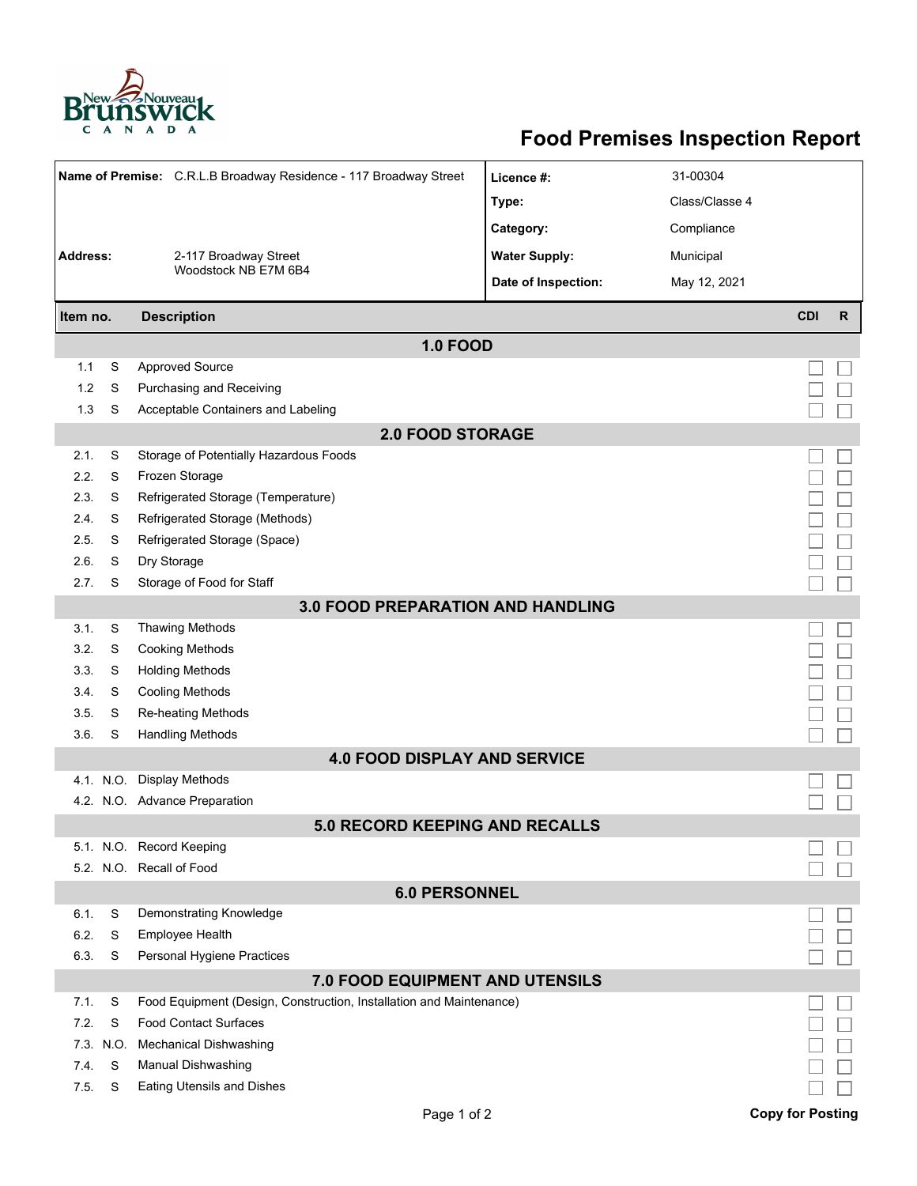

## **Food Premises Inspection Report**

| Name of Premise: C.R.L.B Broadway Residence - 117 Broadway Street |                | Licence #:                                                          | 31-00304             |                |                         |              |  |  |  |  |
|-------------------------------------------------------------------|----------------|---------------------------------------------------------------------|----------------------|----------------|-------------------------|--------------|--|--|--|--|
| <b>Address:</b><br>2-117 Broadway Street                          |                |                                                                     | Type:                | Class/Classe 4 |                         |              |  |  |  |  |
|                                                                   |                |                                                                     | Category:            | Compliance     |                         |              |  |  |  |  |
|                                                                   |                |                                                                     | <b>Water Supply:</b> | Municipal      |                         |              |  |  |  |  |
|                                                                   |                | Woodstock NB E7M 6B4                                                |                      |                |                         |              |  |  |  |  |
|                                                                   |                |                                                                     | Date of Inspection:  | May 12, 2021   |                         |              |  |  |  |  |
| <b>Description</b><br>Item no.                                    |                |                                                                     |                      |                | <b>CDI</b>              | $\mathsf{R}$ |  |  |  |  |
| <b>1.0 FOOD</b>                                                   |                |                                                                     |                      |                |                         |              |  |  |  |  |
| 1.1                                                               | S              | <b>Approved Source</b>                                              |                      |                |                         |              |  |  |  |  |
| 1.2                                                               | S              | Purchasing and Receiving                                            |                      |                |                         |              |  |  |  |  |
| 1.3                                                               | S              | Acceptable Containers and Labeling                                  |                      |                |                         |              |  |  |  |  |
| <b>2.0 FOOD STORAGE</b>                                           |                |                                                                     |                      |                |                         |              |  |  |  |  |
| 2.1.                                                              | S              | Storage of Potentially Hazardous Foods                              |                      |                |                         |              |  |  |  |  |
| 2.2.                                                              | S              | Frozen Storage                                                      |                      |                |                         |              |  |  |  |  |
| 2.3                                                               | S              | Refrigerated Storage (Temperature)                                  |                      |                |                         |              |  |  |  |  |
| 2.4.                                                              | S              | Refrigerated Storage (Methods)                                      |                      |                |                         |              |  |  |  |  |
| 2.5.                                                              | S              | Refrigerated Storage (Space)                                        |                      |                |                         |              |  |  |  |  |
| 2.6.                                                              | S              | Dry Storage                                                         |                      |                |                         |              |  |  |  |  |
| 2.7.                                                              | S              | Storage of Food for Staff                                           |                      |                |                         |              |  |  |  |  |
| <b>3.0 FOOD PREPARATION AND HANDLING</b>                          |                |                                                                     |                      |                |                         |              |  |  |  |  |
| 3.1.                                                              | S              | <b>Thawing Methods</b>                                              |                      |                |                         |              |  |  |  |  |
| 3.2.                                                              | S              | <b>Cooking Methods</b>                                              |                      |                |                         |              |  |  |  |  |
| 3.3.                                                              | S              | <b>Holding Methods</b>                                              |                      |                |                         |              |  |  |  |  |
| 3.4.                                                              | S              | <b>Cooling Methods</b>                                              |                      |                |                         |              |  |  |  |  |
| 3.5.                                                              | S              | Re-heating Methods                                                  |                      |                |                         |              |  |  |  |  |
| 3.6.                                                              | S              | <b>Handling Methods</b>                                             |                      |                |                         |              |  |  |  |  |
|                                                                   |                | <b>4.0 FOOD DISPLAY AND SERVICE</b>                                 |                      |                |                         |              |  |  |  |  |
|                                                                   |                | 4.1. N.O. Display Methods                                           |                      |                |                         |              |  |  |  |  |
|                                                                   |                | 4.2. N.O. Advance Preparation                                       |                      |                |                         |              |  |  |  |  |
|                                                                   |                | 5.0 RECORD KEEPING AND RECALLS                                      |                      |                |                         |              |  |  |  |  |
|                                                                   |                | 5.1. N.O. Record Keeping                                            |                      |                |                         |              |  |  |  |  |
|                                                                   |                | 5.2. N.O. Recall of Food                                            |                      |                |                         |              |  |  |  |  |
| <b>6.0 PERSONNEL</b>                                              |                |                                                                     |                      |                |                         |              |  |  |  |  |
| 6.1.                                                              | S              | Demonstrating Knowledge                                             |                      |                |                         |              |  |  |  |  |
| 6.2.                                                              | S              | Employee Health                                                     |                      |                |                         |              |  |  |  |  |
| 6.3.                                                              | S              | Personal Hygiene Practices                                          |                      |                |                         |              |  |  |  |  |
| 7.0 FOOD EQUIPMENT AND UTENSILS                                   |                |                                                                     |                      |                |                         |              |  |  |  |  |
| 7.1.                                                              | S              | Food Equipment (Design, Construction, Installation and Maintenance) |                      |                |                         |              |  |  |  |  |
| 7.2.                                                              | S              | <b>Food Contact Surfaces</b>                                        |                      |                |                         |              |  |  |  |  |
| 7.4.                                                              | 7.3. N.O.<br>S | <b>Mechanical Dishwashing</b>                                       |                      |                |                         |              |  |  |  |  |
| 7.5.                                                              | S              | Manual Dishwashing<br><b>Eating Utensils and Dishes</b>             |                      |                |                         |              |  |  |  |  |
|                                                                   |                |                                                                     |                      |                |                         |              |  |  |  |  |
|                                                                   |                | Page 1 of 2                                                         |                      |                | <b>Copy for Posting</b> |              |  |  |  |  |